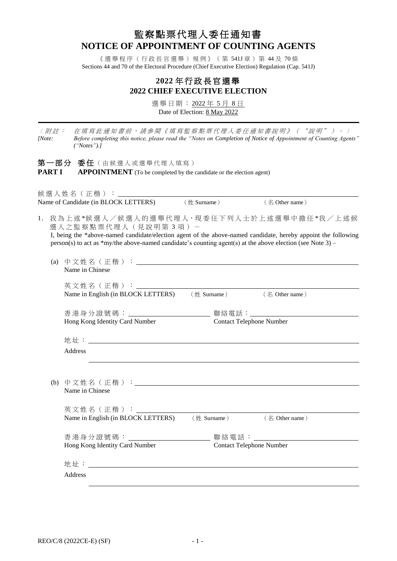# 監察點票代理人委任通知書 **NOTICE OF APPOINTMENT OF COUNTING AGENTS**

《選舉程序(行政長官選舉)規例》(第541J章)第44及70條 Sections 44 and 70 of the Electoral Procedure (Chief Executive Election) Regulation (Cap. 541J)

## **2022** 年 行 政 長 官 選舉 **2022 CHIEF EXECUTIVE ELECTION**

選舉日期: 2022年5月8日 Date of Election: 8 May 2022

〔附註: 在填寫此通知書前,請參閱《填寫監察點票代理人委任通知書說明》("說明")。〕 *[Note: Before completing this notice, please read the "Notes on Completion of Notice of Appointment of Counting Agents" ("Notes").]*

第一部分 委任 (由候選人或選舉代理人填寫) **PART I APPOINTMENT** (To be completed by the candidate or the election agent)

候選人姓名(正楷): Name of Candidate (in BLOCK LETTERS) (姓 Surname) (名 Other name)

1. 我為上述\*候選人/候選人的選舉代理人,現委任下列人士於上述選舉中擔任\*我/上述候 選人之監察點票代理人 (見說明第3項) -

I, being the \*above-named candidate/election agent of the above-named candidate, hereby appoint the following person(s) to act as \*my/the above-named candidate's counting agent(s) at the above election (see Note 3) –

| (a) | Name in Chinese                                                                                                                      |                                                                                     |                |  |  |  |
|-----|--------------------------------------------------------------------------------------------------------------------------------------|-------------------------------------------------------------------------------------|----------------|--|--|--|
|     | 英文姓名(正楷):______________<br>Name in English (in BLOCK LETTERS) (姓 Surname) (名 Other name)                                             |                                                                                     |                |  |  |  |
|     | Hong Kong Identity Card Number                                                                                                       | 香 港 身 分 證 號 碼 : ____________ 聯絡電話:______________<br><b>Contact Telephone Number</b> |                |  |  |  |
|     | Address                                                                                                                              |                                                                                     |                |  |  |  |
|     | the contract of the contract of the contract of the contract of the contract of the contract of the contract of<br>Name in Chinese   |                                                                                     |                |  |  |  |
|     | 英文姓名(正楷):_____________________<br>Name in English (in BLOCK LETTERS)                                                                 | $(\#$ Surname)                                                                      | (名 Other name) |  |  |  |
|     | 香港身分證號碼: ________________________ 聯絡電話: _______________________<br>Hong Kong Identity Card Number<br><b>Contact Telephone Number</b> |                                                                                     |                |  |  |  |
|     |                                                                                                                                      |                                                                                     |                |  |  |  |
|     | Address                                                                                                                              |                                                                                     |                |  |  |  |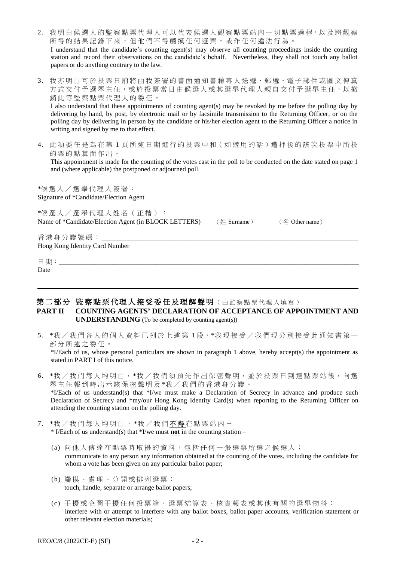| 2. 我明白候選人的監察點票代理人可以代表候選人觀察點票站內一切點票過程,以及將觀察                                                                     |
|----------------------------------------------------------------------------------------------------------------|
| 所得的結果記錄下來,但他們不得觸摸任何選票,或作任何違法行為。                                                                                |
| I understand that the candidate's counting agent(s) may observe all counting proceedings inside the counting   |
| station and record their observations on the candidate's behalf. Nevertheless, they shall not touch any ballot |
| papers or do anything contrary to the law.                                                                     |

3. 我亦明白可於投票日前將由我簽署的書面通知書藉專人送遞、郵遞、電子郵件或圖文傳真 方式交付予選舉主任,或於投票當日由候選人或其選舉代理人親自交付予選舉主任,以撤 銷此等監察點票代理人的委任。

I also understand that these appointments of counting agent(s) may be revoked by me before the polling day by delivering by hand, by post, by electronic mail or by facsimile transmission to the Returning Officer, or on the polling day by delivering in person by the candidate or his/her election agent to the Returning Officer a notice in writing and signed by me to that effect.

4. 此 項 委任是為在第 1 頁所述日期進行的投票中 和(如適用的話 )遭押後的該次投票中所投 的票的點算而作出。

This appointment is made for the counting of the votes cast in the poll to be conducted on the date stated on page 1 and (where applicable) the postponed or adjourned poll.

| *候選人/選舉代理人簽署: <u>_______________</u>                 |                |                               |  |
|------------------------------------------------------|----------------|-------------------------------|--|
| Signature of *Candidate/Election Agent               |                |                               |  |
|                                                      |                |                               |  |
| *候選人/選舉代理人姓名(正楷):                                    |                |                               |  |
| Name of *Candidate/Election Agent (in BLOCK LETTERS) | $(\#$ Surname) | $($ $\frac{2}{1}$ Other name) |  |
|                                                      |                |                               |  |
|                                                      |                |                               |  |
| Hong Kong Identity Card Number                       |                |                               |  |
|                                                      |                |                               |  |
|                                                      |                |                               |  |
| Date                                                 |                |                               |  |
|                                                      |                |                               |  |
|                                                      |                |                               |  |

### 第二部分 監察點票代理人接受委任及理解聲明(由監察點票代理人填寫) **PART II COUNTING AGENTS' DECLARATION OF ACCEPTANCE OF APPOINTMENT AND UNDERSTANDING** (To be completed by counting agent(s))

5. \*我/我們各人的個人資料已列於上述第1段, \*我現接受/我們現分別接受此通知書第一 部分所述之委任。

\*I/Each of us, whose personal particulars are shown in paragraph 1 above, hereby accept(s) the appointment as stated in PART I of this notice.

- 6. \*我 / 我們每人均明白, \*我 / 我們須預先作出保密聲明, 並於投票日到達點票站後, 向選 舉主任報到時出示該保密聲明及\*我/我們的香港身分證。 \*I/Each of us understand(s) that \*I/we must make a Declaration of Secrecy in advance and produce such Declaration of Secrecy and \*my/our Hong Kong Identity Card(s) when reporting to the Returning Officer on attending the counting station on the polling day.
- 7. \*我/我們每人均明白, \*我/我們不得在點票站內-\* I/Each of us understand(s) that \*I/we must **not** in the counting station –
	- (a) 向他人傳達 在點票時取 得 的資料,包括任何一張選票所選之候選人; communicate to any person any information obtained at the counting of the votes, including the candidate for whom a vote has been given on any particular ballot paper;
	- (b) 觸摸、處理、分開或排列選票; touch, handle, separate or arrange ballot papers;
	- (c) 干擾或企圖干擾任何投票箱、 選票結算表、 核實報表 或其他有關的選舉物料 ; interfere with or attempt to interfere with any ballot boxes, ballot paper accounts, verification statement or other relevant election materials;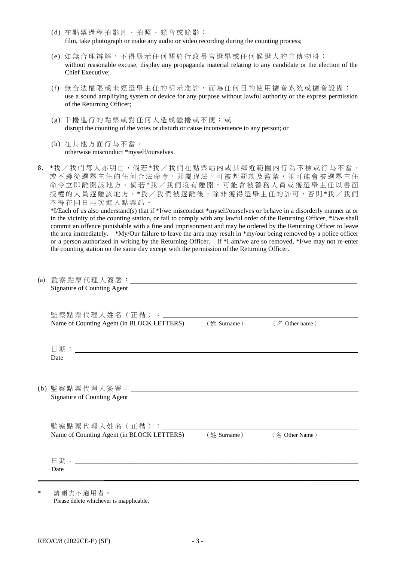- (d) 在點票 過 程 拍影片、拍照、錄音或錄影 ; film, take photograph or make any audio or video recording during the counting process;
- (e) 如無合理辯解,不 得 展示任何關於行政長官選舉或任何候選人的宣傳物料; without reasonable excuse, display any propaganda material relating to any candidate or the election of the Chief Executive;
- (f) 無合法權限或未經選舉主任的明示准許,而為任何目的使用擴音系統或擴音設備; use a sound amplifying system or device for any purpose without lawful authority or the express permission of the Returning Officer;
- (g) 干擾進行的點票或對任何人造成騷擾或 不 便 ; 或 disrupt the counting of the votes or disturb or cause inconvenience to any person; or
- (h) 在其他方面行為不當。 otherwise misconduct \*myself/ourselves.
- 8. \*我 / 我們每人亦明白,倘若 \*我 / 我們在點票站內或其鄰近範圍內行為不檢或行為不當, 或不遵從選舉主任的任何合法命令,即屬違法,可被判罰款及監禁,並可能會被選舉主任 命令立即離開該地方。倘若\*我/我們沒有離開,可能會被警務人員或獲選舉主任以書面 授權的人員逐離該地方。\*我/我們被逐離後,除非獲得選舉主任的許可,否則\*我/我們 不 得 在同日 再次進入點票站。

\*I/Each of us also understand(s) that if \*I/we misconduct \*myself/ourselves or behave in a disorderly manner at or in the vicinity of the counting station, or fail to comply with any lawful order of the Returning Officer, \*I/we shall commit an offence punishable with a fine and imprisonment and may be ordered by the Returning Officer to leave the area immediately. \*My/Our failure to leave the area may result in \*my/our being removed by a police officer or a person authorized in writing by the Returning Officer. If \*I am/we are so removed, \*I/we may not re-enter the counting station on the same day except with the permission of the Returning Officer.

| (a) | Signature of Counting Agent                                                                    |                              |                |  |
|-----|------------------------------------------------------------------------------------------------|------------------------------|----------------|--|
|     | 監察點票代理人姓名(正楷):_______________________<br>Name of Counting Agent (in BLOCK LETTERS)             | $(\nleftrightarrow$ Surname) | (名 Other name) |  |
|     | Date                                                                                           |                              |                |  |
|     | <b>Signature of Counting Agent</b>                                                             |                              |                |  |
|     | 監察點票代理人姓名(正楷): _______<br>Name of Counting Agent (in BLOCK LETTERS) (姓 Surname) (名 Other Name) |                              |                |  |
|     | Date                                                                                           |                              |                |  |

請刪去不適用者。 Please delete whichever is inapplicable.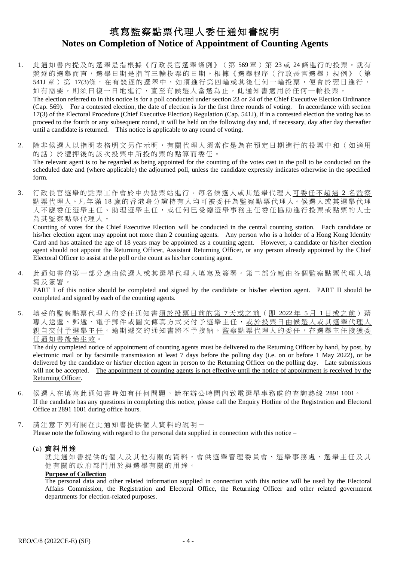## 填寫監察點票代理人委任通知書說明 **Notes on Completion of Notice of Appointment of Counting Agents**

- 1. 此通知書內提及的選舉是指根據《行政長官選舉條例》(第569章)第23或 24條進行的投票。就有 競逐的選舉而言,選舉日期是指首三輪投票的日期。根據《選舉程序(行政長官選舉)規例》(第 541J 章) 第 17(3)條, 在有競逐的選舉中, 如須進行第四輪或其後任何一輪投票, 便會於翌日進行, 如有需要,則須日復一日地進行,直至有候選人當選為止。此通知書適用於任何一輪投票。 The election referred to in this notice is for a poll conducted under section 23 or 24 of the Chief Executive Election Ordinance (Cap. 569). For a contested election, the date of election is for the first three rounds of voting. In accordance with section 17(3) of the Electoral Procedure (Chief Executive Election) Regulation (Cap. 541J), if in a contested election the voting has to proceed to the fourth or any subsequent round, it will be held on the following day and, if necessary, day after day thereafter
- 2. 除 非 候 選 人 以 指 明 表 格 明 文 另 作 示 明 , 有 關 代 理 人 須 當 作 是 為 在 預 定 日 期 進 行 的 投 票 中 和 ( 如 適 用 的 話 ) 於 遭 押 後 的 該 次 投 票 中 所 投 的 票 的 點 算 而 委 任 。 The relevant agent is to be regarded as being appointed for the counting of the votes cast in the poll to be conducted on the scheduled date and (where applicable) the adjourned poll, unless the candidate expressly indicates otherwise in the specified form.

until a candidate is returned. This notice is applicable to any round of voting.

3. 行政長官選舉的點票工作會於中央點票站進行。每名候選人或其選舉代理人可委任不超過2名監察 點票代理人。凡年滿18歲的香港身分證持有人均可被委任為監察點票代理人。候選人或其選舉代理 人不應委任選舉主任、助理選舉主任,或任何已受總選舉事務主任委任協助進行投票或點票的人士 為 其 監 察 點 票 代 理 人 。

Counting of votes for the Chief Executive Election will be conducted in the central counting station. Each candidate or his/her election agent may appoint not more than 2 counting agents. Any person who is a holder of a Hong Kong Identity Card and has attained the age of 18 years may be appointed as a counting agent. However, a candidate or his/her election agent should not appoint the Returning Officer, Assistant Returning Officer, or any person already appointed by the Chief Electoral Officer to assist at the poll or the count as his/her counting agent.

4. 此 通 知 書 的 第 一 部 分 應 由 候 選 人 或 其 選 舉 代 理 人 填 寫 及 簽 署 。 第 二 部 分 應 由 各 個 監 察 點 票 代 理 人 填 寫 及 簽 署 。

PART I of this notice should be completed and signed by the candidate or his/her election agent. PART II should be completed and signed by each of the counting agents.

5. 填妥的監察點票代理人的委任通知書<u>須於投票日前的第7天或之前(即 2022年 5月 1日或之前</u>)藉 專人送遞、郵遞、電子郵件或圖文傳真方式交付予選舉主任,或於投票日由候選人或其選舉代理人 親自交付予選舉主任。逾期遞交的通知書將不予接納。監察點票代理人的委任,在選舉主任接獲委 任 通 知 書 後 始 生 效 。

The duly completed notice of appointment of counting agents must be delivered to the Returning Officer by hand, by post, by electronic mail or by facsimile transmission at least 7 days before the polling day (i.e. on or before 1 May 2022), or be delivered by the candidate or his/her election agent in person to the Returning Officer on the polling day. Late submissions will not be accepted. The appointment of counting agents is not effective until the notice of appointment is received by the Returning Officer.

- 6. 候 選人在 填寫此 通知書 時 如 有 任 何 問 題 , 請 在 辦 公 時 間 內 致 電 選 舉 事 務 處 的 查 詢 熱 線 2891 1001。 If the candidate has any questions in completing this notice, please call the Enquiry Hotline of the Registration and Electoral Office at 2891 1001 during office hours.
- 7. 請注意下列有關在此通知書提供個人資料的說明 -Please note the following with regard to the personal data supplied in connection with this notice –

#### (a) 資料用途

就此通知書提供的個人及其他有關的資料,會供選舉管理委員會、選舉事務處、選舉主任及其 他 有 關 的 政府部門 用於與選舉有關的用途。

#### **Purpose of Collection**

The personal data and other related information supplied in connection with this notice will be used by the Electoral Affairs Commission, the Registration and Electoral Office, the Returning Officer and other related government departments for election-related purposes.